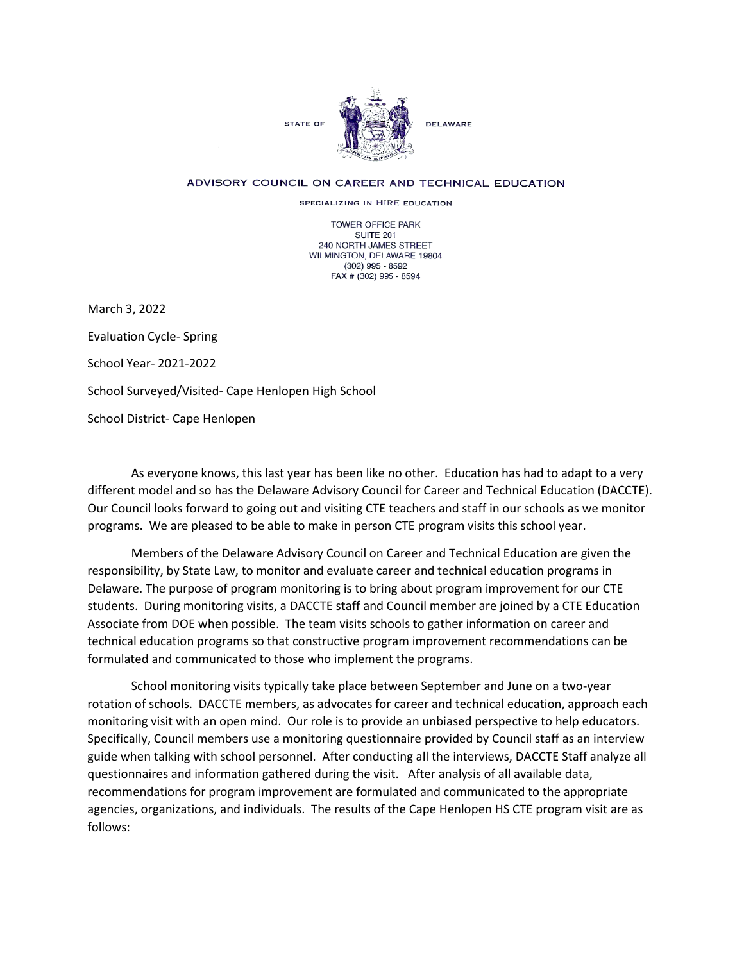

## ADVISORY COUNCIL ON CAREER AND TECHNICAL EDUCATION

SPECIALIZING IN HIRE EDUCATION

TOWER OFFICE PARK SUITE 201 240 NORTH JAMES STREET WILMINGTON, DELAWARE 19804 (302) 995 - 8592 FAX # (302) 995 - 8594

March 3, 2022

Evaluation Cycle- Spring

School Year- 2021-2022

School Surveyed/Visited- Cape Henlopen High School

School District- Cape Henlopen

As everyone knows, this last year has been like no other. Education has had to adapt to a very different model and so has the Delaware Advisory Council for Career and Technical Education (DACCTE). Our Council looks forward to going out and visiting CTE teachers and staff in our schools as we monitor programs. We are pleased to be able to make in person CTE program visits this school year.

Members of the Delaware Advisory Council on Career and Technical Education are given the responsibility, by State Law, to monitor and evaluate career and technical education programs in Delaware. The purpose of program monitoring is to bring about program improvement for our CTE students. During monitoring visits, a DACCTE staff and Council member are joined by a CTE Education Associate from DOE when possible. The team visits schools to gather information on career and technical education programs so that constructive program improvement recommendations can be formulated and communicated to those who implement the programs.

School monitoring visits typically take place between September and June on a two-year rotation of schools. DACCTE members, as advocates for career and technical education, approach each monitoring visit with an open mind. Our role is to provide an unbiased perspective to help educators. Specifically, Council members use a monitoring questionnaire provided by Council staff as an interview guide when talking with school personnel. After conducting all the interviews, DACCTE Staff analyze all questionnaires and information gathered during the visit. After analysis of all available data, recommendations for program improvement are formulated and communicated to the appropriate agencies, organizations, and individuals. The results of the Cape Henlopen HS CTE program visit are as follows: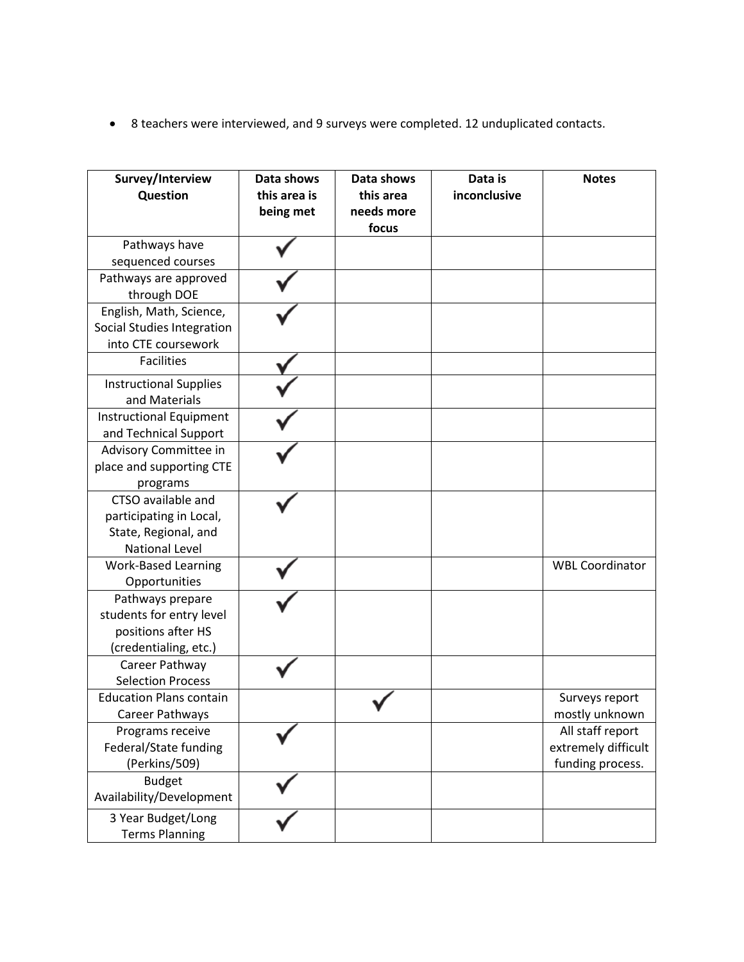• 8 teachers were interviewed, and 9 surveys were completed. 12 unduplicated contacts.

| Survey/Interview<br>Question                                                                   | Data shows<br>this area is<br>being met | Data shows<br>this area<br>needs more<br>focus | Data is<br>inconclusive | <b>Notes</b>                                                |
|------------------------------------------------------------------------------------------------|-----------------------------------------|------------------------------------------------|-------------------------|-------------------------------------------------------------|
| Pathways have                                                                                  |                                         |                                                |                         |                                                             |
| sequenced courses                                                                              |                                         |                                                |                         |                                                             |
| Pathways are approved<br>through DOE                                                           |                                         |                                                |                         |                                                             |
| English, Math, Science,                                                                        |                                         |                                                |                         |                                                             |
| Social Studies Integration<br>into CTE coursework                                              |                                         |                                                |                         |                                                             |
| <b>Facilities</b>                                                                              |                                         |                                                |                         |                                                             |
| <b>Instructional Supplies</b><br>and Materials                                                 |                                         |                                                |                         |                                                             |
| <b>Instructional Equipment</b><br>and Technical Support                                        |                                         |                                                |                         |                                                             |
| Advisory Committee in<br>place and supporting CTE<br>programs                                  |                                         |                                                |                         |                                                             |
| CTSO available and<br>participating in Local,<br>State, Regional, and<br><b>National Level</b> |                                         |                                                |                         |                                                             |
| <b>Work-Based Learning</b><br>Opportunities                                                    |                                         |                                                |                         | <b>WBL Coordinator</b>                                      |
| Pathways prepare<br>students for entry level<br>positions after HS<br>(credentialing, etc.)    |                                         |                                                |                         |                                                             |
| Career Pathway<br><b>Selection Process</b>                                                     |                                         |                                                |                         |                                                             |
| <b>Education Plans contain</b><br>Career Pathways                                              |                                         |                                                |                         | Surveys report<br>mostly unknown                            |
| Programs receive<br>Federal/State funding<br>(Perkins/509)                                     |                                         |                                                |                         | All staff report<br>extremely difficult<br>funding process. |
| <b>Budget</b><br>Availability/Development                                                      |                                         |                                                |                         |                                                             |
| 3 Year Budget/Long<br><b>Terms Planning</b>                                                    |                                         |                                                |                         |                                                             |